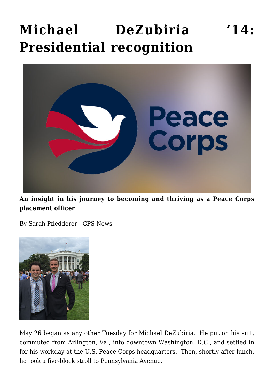## **[Michael DeZubiria '14:](https://gpsnews.ucsd.edu/story-dezubiria/) [Presidential recognition](https://gpsnews.ucsd.edu/story-dezubiria/)**



**An insight in his journey to becoming and thriving as a Peace Corps placement officer**

By Sarah Pfledderer | GPS News



May 26 began as any other Tuesday for Michael DeZubiria. He put on his suit, commuted from Arlington, Va., into downtown Washington, D.C., and settled in for his workday at the U.S. Peace Corps headquarters. Then, shortly after lunch, he took a five-block stroll to Pennsylvania Avenue.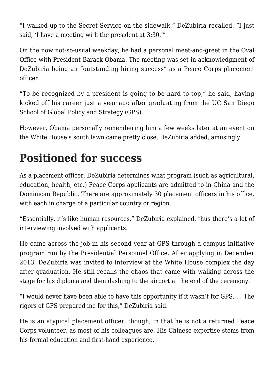"I walked up to the Secret Service on the sidewalk," DeZubiria recalled. "I just said, 'I have a meeting with the president at 3:30.'"

On the now not-so-usual weekday, he had a personal meet-and-greet in the Oval Office with President Barack Obama. The meeting was set in acknowledgment of DeZubiria being an "outstanding hiring success" as a Peace Corps placement officer.

"To be recognized by a president is going to be hard to top," he said, having kicked off his career just a year ago after graduating from the UC San Diego School of Global Policy and Strategy (GPS).

However, Obama personally remembering him a few weeks later at an event on the White House's south lawn came pretty close, DeZubiria added, amusingly.

## **Positioned for success**

As a placement officer, DeZubiria determines what program (such as agricultural, education, health, etc.) Peace Corps applicants are admitted to in China and the Dominican Republic. There are approximately 30 placement officers in his office, with each in charge of a particular country or region.

"Essentially, it's like human resources," DeZubiria explained, thus there's a lot of interviewing involved with applicants.

He came across the job in his second year at GPS through a campus initiative program run by the Presidential Personnel Office. After applying in December 2013, DeZubiria was invited to interview at the White House complex the day after graduation. He still recalls the chaos that came with walking across the stage for his diploma and then dashing to the airport at the end of the ceremony.

"I would never have been able to have this opportunity if it wasn't for GPS. … The rigors of GPS prepared me for this," DeZubiria said.

He is an atypical placement officer, though, in that he is not a returned Peace Corps volunteer, as most of his colleagues are. His Chinese expertise stems from his formal education and first-hand experience.